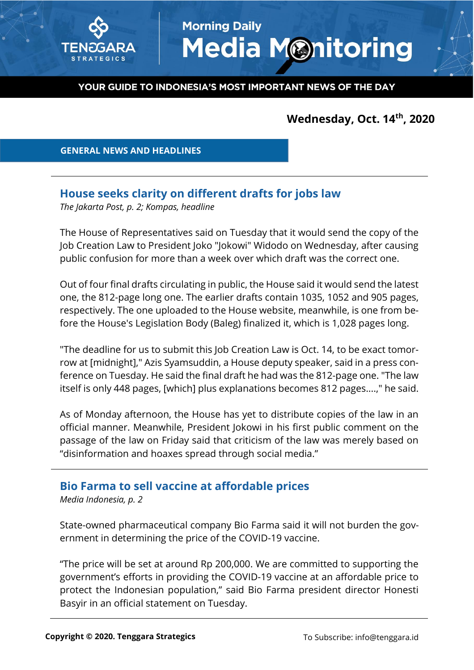

# **Morning Daily Media Monitoring**

#### YOUR GUIDE TO INDONESIA'S MOST IMPORTANT NEWS OF THE DAY

# **Wednesday, Oct. 14 th, 2020**

 **GENERAL NEWS AND HEADLINES**

## **House seeks clarity on different drafts for jobs law**

*The Jakarta Post, p. 2; Kompas, headline*

The House of Representatives said on Tuesday that it would send the copy of the Job Creation Law to President Joko "Jokowi" Widodo on Wednesday, after causing public confusion for more than a week over which draft was the correct one.

Out of four final drafts circulating in public, the House said it would send the latest one, the 812-page long one. The earlier drafts contain 1035, 1052 and 905 pages, respectively. The one uploaded to the House website, meanwhile, is one from before the House's Legislation Body (Baleg) finalized it, which is 1,028 pages long.

"The deadline for us to submit this Job Creation Law is Oct. 14, to be exact tomorrow at [midnight]," Azis Syamsuddin, a House deputy speaker, said in a press conference on Tuesday. He said the final draft he had was the 812-page one. "The law itself is only 448 pages, [which] plus explanations becomes 812 pages....," he said.

As of Monday afternoon, the House has yet to distribute copies of the law in an official manner. Meanwhile, President Jokowi in his first public comment on the passage of the law on Friday said that criticism of the law was merely based on "disinformation and hoaxes spread through social media."

## **Bio Farma to sell vaccine at affordable prices**

*Media Indonesia, p. 2*

State-owned pharmaceutical company Bio Farma said it will not burden the government in determining the price of the COVID-19 vaccine.

"The price will be set at around Rp 200,000. We are committed to supporting the government's efforts in providing the COVID-19 vaccine at an affordable price to protect the Indonesian population," said Bio Farma president director Honesti Basyir in an official statement on Tuesday.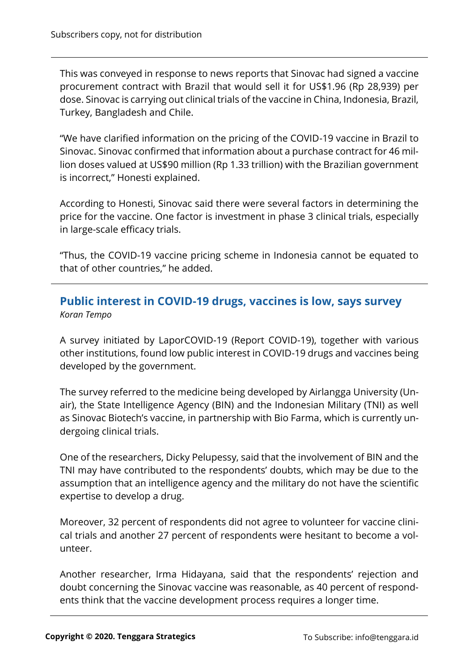This was conveyed in response to news reports that Sinovac had signed a vaccine procurement contract with Brazil that would sell it for US\$1.96 (Rp 28,939) per dose. Sinovac is carrying out clinical trials of the vaccine in China, Indonesia, Brazil, Turkey, Bangladesh and Chile.

"We have clarified information on the pricing of the COVID-19 vaccine in Brazil to Sinovac. Sinovac confirmed that information about a purchase contract for 46 million doses valued at US\$90 million (Rp 1.33 trillion) with the Brazilian government is incorrect," Honesti explained.

According to Honesti, Sinovac said there were several factors in determining the price for the vaccine. One factor is investment in phase 3 clinical trials, especially in large-scale efficacy trials.

"Thus, the COVID-19 vaccine pricing scheme in Indonesia cannot be equated to that of other countries," he added.

## **Public interest in COVID-19 drugs, vaccines is low, says survey** *Koran Tempo*

A survey initiated by LaporCOVID-19 (Report COVID-19), together with various other institutions, found low public interest in COVID-19 drugs and vaccines being developed by the government.

The survey referred to the medicine being developed by Airlangga University (Unair), the State Intelligence Agency (BIN) and the Indonesian Military (TNI) as well as Sinovac Biotech's vaccine, in partnership with Bio Farma, which is currently undergoing clinical trials.

One of the researchers, Dicky Pelupessy, said that the involvement of BIN and the TNI may have contributed to the respondents' doubts, which may be due to the assumption that an intelligence agency and the military do not have the scientific expertise to develop a drug.

Moreover, 32 percent of respondents did not agree to volunteer for vaccine clinical trials and another 27 percent of respondents were hesitant to become a volunteer.

Another researcher, Irma Hidayana, said that the respondents' rejection and doubt concerning the Sinovac vaccine was reasonable, as 40 percent of respondents think that the vaccine development process requires a longer time.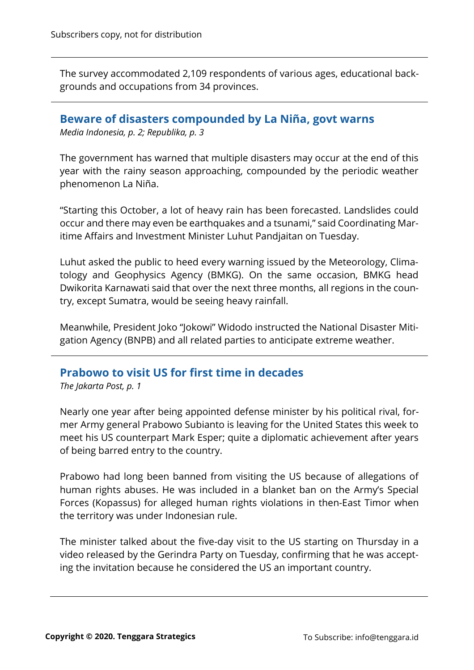The survey accommodated 2,109 respondents of various ages, educational backgrounds and occupations from 34 provinces.

## **Beware of disasters compounded by La Niña, govt warns**

*Media Indonesia, p. 2; Republika, p. 3*

The government has warned that multiple disasters may occur at the end of this year with the rainy season approaching, compounded by the periodic weather phenomenon La Niña.

"Starting this October, a lot of heavy rain has been forecasted. Landslides could occur and there may even be earthquakes and a tsunami," said Coordinating Maritime Affairs and Investment Minister Luhut Pandjaitan on Tuesday.

Luhut asked the public to heed every warning issued by the Meteorology, Climatology and Geophysics Agency (BMKG). On the same occasion, BMKG head Dwikorita Karnawati said that over the next three months, all regions in the country, except Sumatra, would be seeing heavy rainfall.

Meanwhile, President Joko "Jokowi" Widodo instructed the National Disaster Mitigation Agency (BNPB) and all related parties to anticipate extreme weather.

# **Prabowo to visit US for first time in decades**

*The Jakarta Post, p. 1*

Nearly one year after being appointed defense minister by his political rival, former Army general Prabowo Subianto is leaving for the United States this week to meet his US counterpart Mark Esper; quite a diplomatic achievement after years of being barred entry to the country.

Prabowo had long been banned from visiting the US because of allegations of human rights abuses. He was included in a blanket ban on the Army's Special Forces (Kopassus) for alleged human rights violations in then-East Timor when the territory was under Indonesian rule.

The minister talked about the five-day visit to the US starting on Thursday in a video released by the Gerindra Party on Tuesday, confirming that he was accepting the invitation because he considered the US an important country.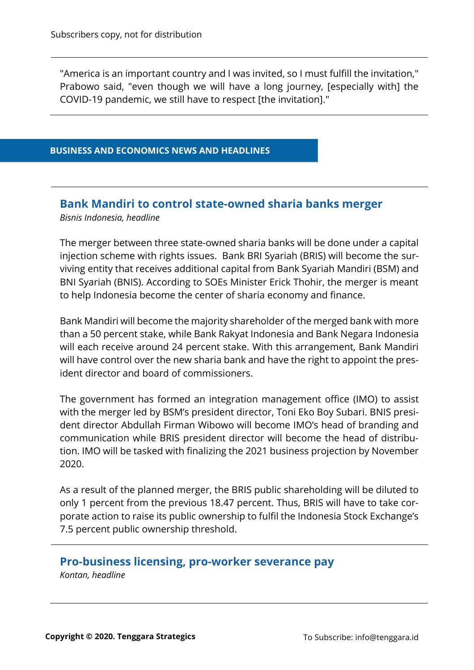"America is an important country and I was invited, so I must fulfill the invitation," Prabowo said, "even though we will have a long journey, [especially with] the COVID-19 pandemic, we still have to respect [the invitation]."

#### **BUSINESS AND ECONOMICS NEWS AND HEADLINES**

# **Bank Mandiri to control state-owned sharia banks merger**

*Bisnis Indonesia, headline*

The merger between three state-owned sharia banks will be done under a capital injection scheme with rights issues. Bank BRI Syariah (BRIS) will become the surviving entity that receives additional capital from Bank Syariah Mandiri (BSM) and BNI Syariah (BNIS). According to SOEs Minister Erick Thohir, the merger is meant to help Indonesia become the center of sharia economy and finance.

Bank Mandiri will become the majority shareholder of the merged bank with more than a 50 percent stake, while Bank Rakyat Indonesia and Bank Negara Indonesia will each receive around 24 percent stake. With this arrangement, Bank Mandiri will have control over the new sharia bank and have the right to appoint the president director and board of commissioners.

The government has formed an integration management office (IMO) to assist with the merger led by BSM's president director, Toni Eko Boy Subari. BNIS president director Abdullah Firman Wibowo will become IMO's head of branding and communication while BRIS president director will become the head of distribution. IMO will be tasked with finalizing the 2021 business projection by November 2020.

As a result of the planned merger, the BRIS public shareholding will be diluted to only 1 percent from the previous 18.47 percent. Thus, BRIS will have to take corporate action to raise its public ownership to fulfil the Indonesia Stock Exchange's 7.5 percent public ownership threshold.

## **Pro-business licensing, pro-worker severance pay**

*Kontan, headline*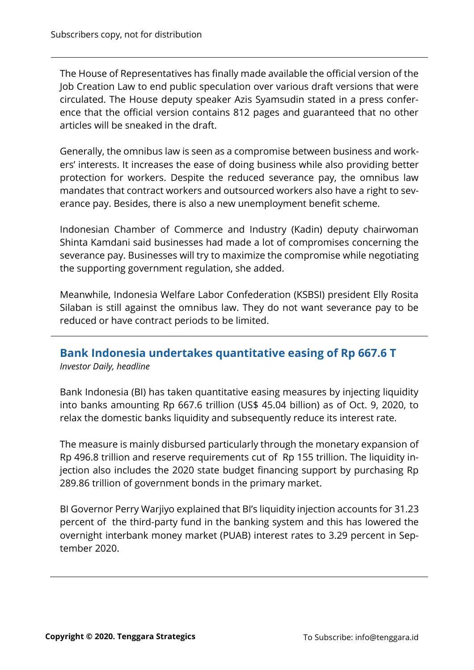The House of Representatives has finally made available the official version of the Job Creation Law to end public speculation over various draft versions that were circulated. The House deputy speaker Azis Syamsudin stated in a press conference that the official version contains 812 pages and guaranteed that no other articles will be sneaked in the draft.

Generally, the omnibus law is seen as a compromise between business and workers' interests. It increases the ease of doing business while also providing better protection for workers. Despite the reduced severance pay, the omnibus law mandates that contract workers and outsourced workers also have a right to severance pay. Besides, there is also a new unemployment benefit scheme.

Indonesian Chamber of Commerce and Industry (Kadin) deputy chairwoman Shinta Kamdani said businesses had made a lot of compromises concerning the severance pay. Businesses will try to maximize the compromise while negotiating the supporting government regulation, she added.

Meanwhile, Indonesia Welfare Labor Confederation (KSBSI) president Elly Rosita Silaban is still against the omnibus law. They do not want severance pay to be reduced or have contract periods to be limited.

# **Bank Indonesia undertakes quantitative easing of Rp 667.6 T**

*Investor Daily, headline*

Bank Indonesia (BI) has taken quantitative easing measures by injecting liquidity into banks amounting Rp 667.6 trillion (US\$ 45.04 billion) as of Oct. 9, 2020, to relax the domestic banks liquidity and subsequently reduce its interest rate.

The measure is mainly disbursed particularly through the monetary expansion of Rp 496.8 trillion and reserve requirements cut of Rp 155 trillion. The liquidity injection also includes the 2020 state budget financing support by purchasing Rp 289.86 trillion of government bonds in the primary market.

BI Governor Perry Warjiyo explained that BI's liquidity injection accounts for 31.23 percent of the third-party fund in the banking system and this has lowered the overnight interbank money market (PUAB) interest rates to 3.29 percent in September 2020.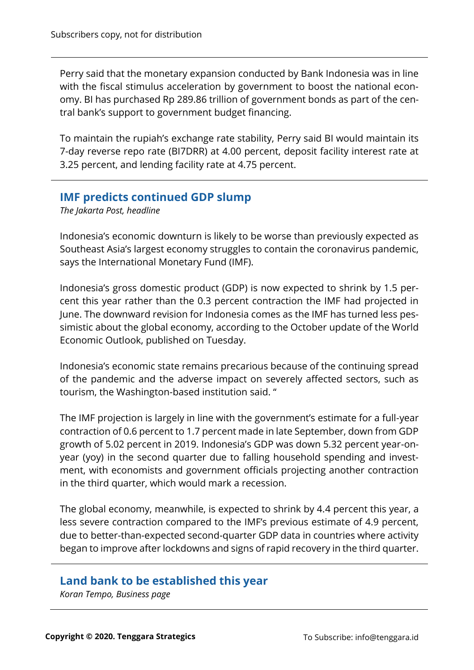Perry said that the monetary expansion conducted by Bank Indonesia was in line with the fiscal stimulus acceleration by government to boost the national economy. BI has purchased Rp 289.86 trillion of government bonds as part of the central bank's support to government budget financing.

To maintain the rupiah's exchange rate stability, Perry said BI would maintain its 7-day reverse repo rate (BI7DRR) at 4.00 percent, deposit facility interest rate at 3.25 percent, and lending facility rate at 4.75 percent.

## **IMF predicts continued GDP slump**

*The Jakarta Post, headline*

Indonesia's economic downturn is likely to be worse than previously expected as Southeast Asia's largest economy struggles to contain the coronavirus pandemic, says the International Monetary Fund (IMF).

Indonesia's gross domestic product (GDP) is now expected to shrink by 1.5 percent this year rather than the 0.3 percent contraction the IMF had projected in June. The downward revision for Indonesia comes as the IMF has turned less pessimistic about the global economy, according to the October update of the World Economic Outlook, published on Tuesday.

Indonesia's economic state remains precarious because of the continuing spread of the pandemic and the adverse impact on severely affected sectors, such as tourism, the Washington-based institution said. "

The IMF projection is largely in line with the government's estimate for a full-year contraction of 0.6 percent to 1.7 percent made in late September, down from GDP growth of 5.02 percent in 2019. Indonesia's GDP was down 5.32 percent year-onyear (yoy) in the second quarter due to falling household spending and investment, with economists and government officials projecting another contraction in the third quarter, which would mark a recession.

The global economy, meanwhile, is expected to shrink by 4.4 percent this year, a less severe contraction compared to the IMF's previous estimate of 4.9 percent, due to better-than-expected second-quarter GDP data in countries where activity began to improve after lockdowns and signs of rapid recovery in the third quarter.

# **Land bank to be established this year**

*Koran Tempo, Business page*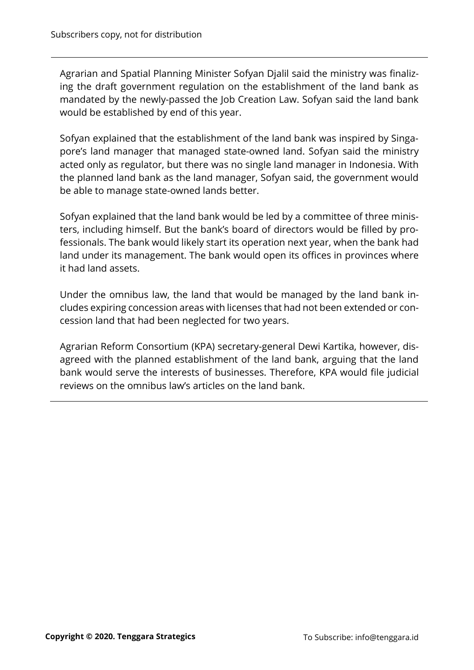Agrarian and Spatial Planning Minister Sofyan Djalil said the ministry was finalizing the draft government regulation on the establishment of the land bank as mandated by the newly-passed the Job Creation Law. Sofyan said the land bank would be established by end of this year.

Sofyan explained that the establishment of the land bank was inspired by Singapore's land manager that managed state-owned land. Sofyan said the ministry acted only as regulator, but there was no single land manager in Indonesia. With the planned land bank as the land manager, Sofyan said, the government would be able to manage state-owned lands better.

Sofyan explained that the land bank would be led by a committee of three ministers, including himself. But the bank's board of directors would be filled by professionals. The bank would likely start its operation next year, when the bank had land under its management. The bank would open its offices in provinces where it had land assets.

Under the omnibus law, the land that would be managed by the land bank includes expiring concession areas with licenses that had not been extended or concession land that had been neglected for two years.

Agrarian Reform Consortium (KPA) secretary-general Dewi Kartika, however, disagreed with the planned establishment of the land bank, arguing that the land bank would serve the interests of businesses. Therefore, KPA would file judicial reviews on the omnibus law's articles on the land bank.